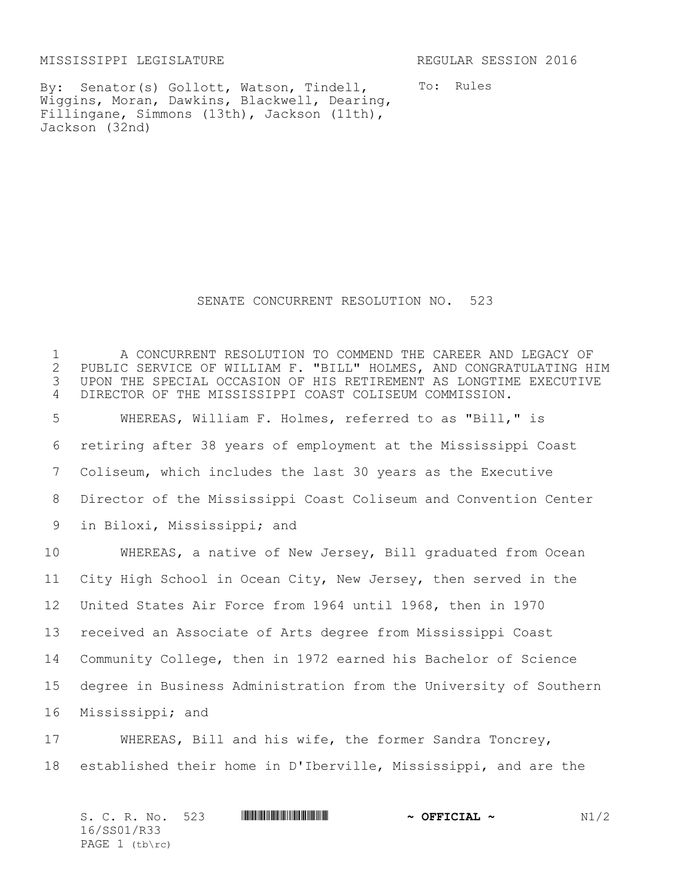MISSISSIPPI LEGISLATURE REGULAR SESSION 2016

By: Senator(s) Gollott, Watson, Tindell, Wiggins, Moran, Dawkins, Blackwell, Dearing, Fillingane, Simmons (13th), Jackson (11th), Jackson (32nd)

To: Rules

SENATE CONCURRENT RESOLUTION NO. 523

1 A CONCURRENT RESOLUTION TO COMMEND THE CAREER AND LEGACY OF 2 PUBLIC SERVICE OF WILLIAM F. "BILL" HOLMES, AND CONGRATULATING H 2 PUBLIC SERVICE OF WILLIAM F. "BILL" HOLMES, AND CONGRATULATING HIM<br>3 UPON THE SPECIAL OCCASION OF HIS RETIREMENT AS LONGTIME EXECUTIVE UPON THE SPECIAL OCCASION OF HIS RETIREMENT AS LONGTIME EXECUTIVE DIRECTOR OF THE MISSISSIPPI COAST COLISEUM COMMISSION. WHEREAS, William F. Holmes, referred to as "Bill," is retiring after 38 years of employment at the Mississippi Coast Coliseum, which includes the last 30 years as the Executive Director of the Mississippi Coast Coliseum and Convention Center in Biloxi, Mississippi; and WHEREAS, a native of New Jersey, Bill graduated from Ocean City High School in Ocean City, New Jersey, then served in the United States Air Force from 1964 until 1968, then in 1970 received an Associate of Arts degree from Mississippi Coast Community College, then in 1972 earned his Bachelor of Science degree in Business Administration from the University of Southern Mississippi; and WHEREAS, Bill and his wife, the former Sandra Toncrey,

18 established their home in D'Iberville, Mississippi, and are the

| S. C. R. No. 523 | <u> I de la provincia de la provincia de la provincia de la provincia de la provincia de la provincia de la provi</u> | $\sim$ OFFICIAL $\sim$ | N1/2 |
|------------------|-----------------------------------------------------------------------------------------------------------------------|------------------------|------|
| 16/SS01/R33      |                                                                                                                       |                        |      |
| PAGE $1$ (tb\rc) |                                                                                                                       |                        |      |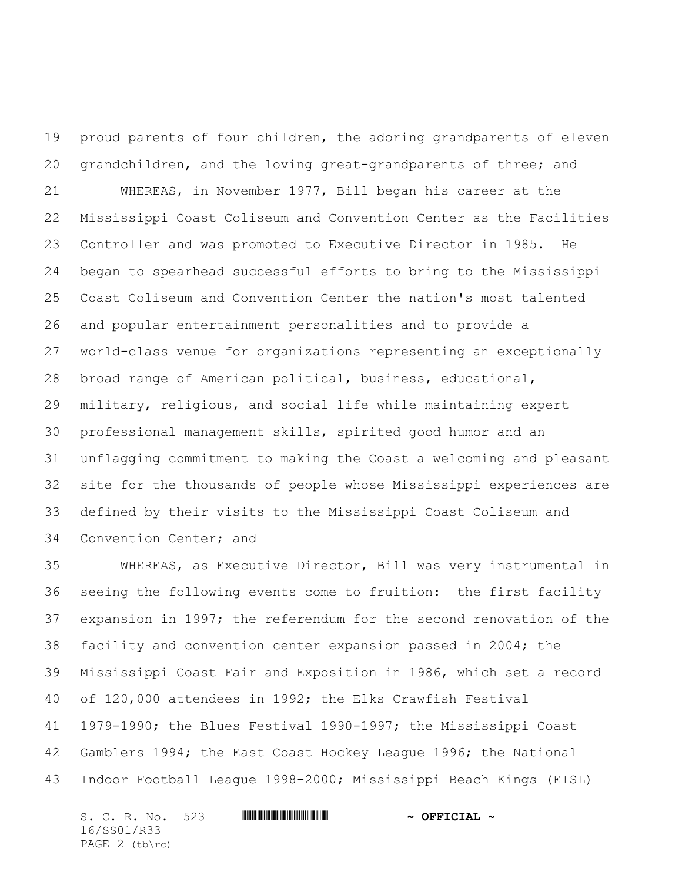proud parents of four children, the adoring grandparents of eleven grandchildren, and the loving great-grandparents of three; and WHEREAS, in November 1977, Bill began his career at the Mississippi Coast Coliseum and Convention Center as the Facilities Controller and was promoted to Executive Director in 1985. He began to spearhead successful efforts to bring to the Mississippi Coast Coliseum and Convention Center the nation's most talented and popular entertainment personalities and to provide a world-class venue for organizations representing an exceptionally broad range of American political, business, educational, military, religious, and social life while maintaining expert professional management skills, spirited good humor and an unflagging commitment to making the Coast a welcoming and pleasant site for the thousands of people whose Mississippi experiences are defined by their visits to the Mississippi Coast Coliseum and Convention Center; and

 WHEREAS, as Executive Director, Bill was very instrumental in seeing the following events come to fruition: the first facility expansion in 1997; the referendum for the second renovation of the facility and convention center expansion passed in 2004; the Mississippi Coast Fair and Exposition in 1986, which set a record of 120,000 attendees in 1992; the Elks Crawfish Festival 1979-1990; the Blues Festival 1990-1997; the Mississippi Coast Gamblers 1994; the East Coast Hockey League 1996; the National Indoor Football League 1998-2000; Mississippi Beach Kings (EISL)

S. C. R. No. 523 **WILL AND ALLET AND A OFFICIAL ~** 16/SS01/R33 PAGE 2 (tb\rc)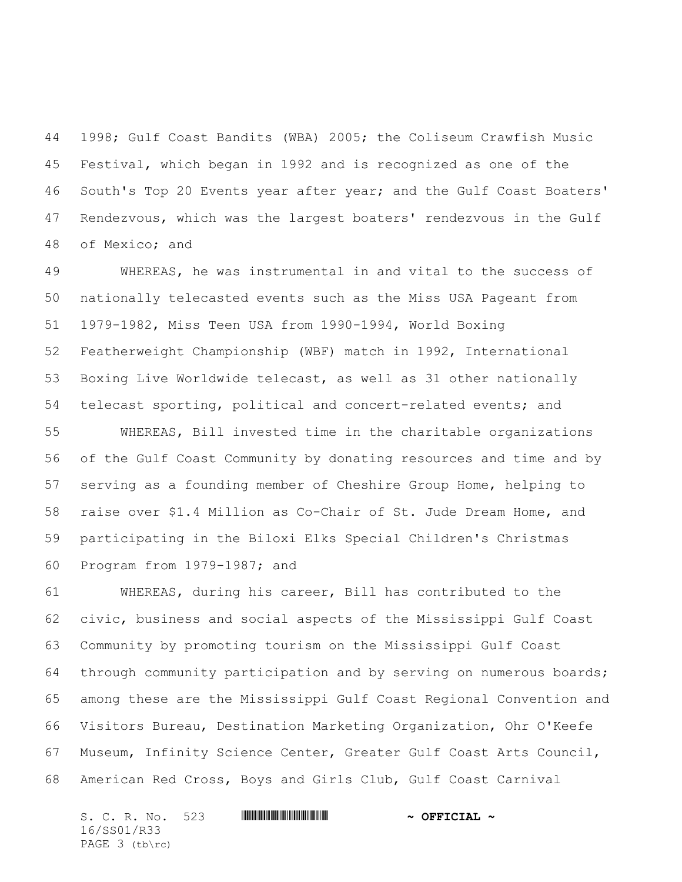1998; Gulf Coast Bandits (WBA) 2005; the Coliseum Crawfish Music Festival, which began in 1992 and is recognized as one of the South's Top 20 Events year after year; and the Gulf Coast Boaters' Rendezvous, which was the largest boaters' rendezvous in the Gulf of Mexico; and

 WHEREAS, he was instrumental in and vital to the success of nationally telecasted events such as the Miss USA Pageant from 1979-1982, Miss Teen USA from 1990-1994, World Boxing Featherweight Championship (WBF) match in 1992, International Boxing Live Worldwide telecast, as well as 31 other nationally telecast sporting, political and concert-related events; and

 WHEREAS, Bill invested time in the charitable organizations of the Gulf Coast Community by donating resources and time and by serving as a founding member of Cheshire Group Home, helping to raise over \$1.4 Million as Co-Chair of St. Jude Dream Home, and participating in the Biloxi Elks Special Children's Christmas Program from 1979-1987; and

 WHEREAS, during his career, Bill has contributed to the civic, business and social aspects of the Mississippi Gulf Coast Community by promoting tourism on the Mississippi Gulf Coast through community participation and by serving on numerous boards; among these are the Mississippi Gulf Coast Regional Convention and Visitors Bureau, Destination Marketing Organization, Ohr O'Keefe Museum, Infinity Science Center, Greater Gulf Coast Arts Council, American Red Cross, Boys and Girls Club, Gulf Coast Carnival

S. C. R. No. 523 **WILL AND ALLET AND A OFFICIAL ~** 16/SS01/R33 PAGE 3 (tb\rc)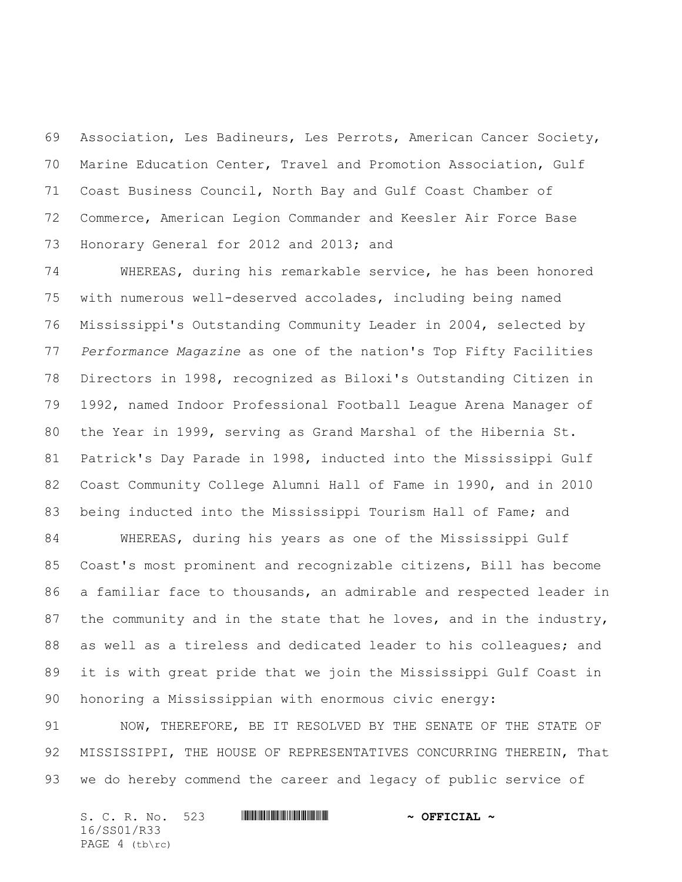Association, Les Badineurs, Les Perrots, American Cancer Society, Marine Education Center, Travel and Promotion Association, Gulf Coast Business Council, North Bay and Gulf Coast Chamber of Commerce, American Legion Commander and Keesler Air Force Base Honorary General for 2012 and 2013; and

 WHEREAS, during his remarkable service, he has been honored with numerous well-deserved accolades, including being named Mississippi's Outstanding Community Leader in 2004, selected by *Performance Magazine* as one of the nation's Top Fifty Facilities Directors in 1998, recognized as Biloxi's Outstanding Citizen in 1992, named Indoor Professional Football League Arena Manager of the Year in 1999, serving as Grand Marshal of the Hibernia St. Patrick's Day Parade in 1998, inducted into the Mississippi Gulf Coast Community College Alumni Hall of Fame in 1990, and in 2010 being inducted into the Mississippi Tourism Hall of Fame; and

 WHEREAS, during his years as one of the Mississippi Gulf Coast's most prominent and recognizable citizens, Bill has become a familiar face to thousands, an admirable and respected leader in 87 the community and in the state that he loves, and in the industry, 88 as well as a tireless and dedicated leader to his colleagues; and it is with great pride that we join the Mississippi Gulf Coast in honoring a Mississippian with enormous civic energy:

 NOW, THEREFORE, BE IT RESOLVED BY THE SENATE OF THE STATE OF 92 MISSISSIPPI, THE HOUSE OF REPRESENTATIVES CONCURRING THEREIN, That we do hereby commend the career and legacy of public service of

| S. C. R. No. 523 |  | $\sim$ OFFICIAL $\sim$ |
|------------------|--|------------------------|
| 16/SS01/R33      |  |                        |
| PAGE $4$ (tb\rc) |  |                        |